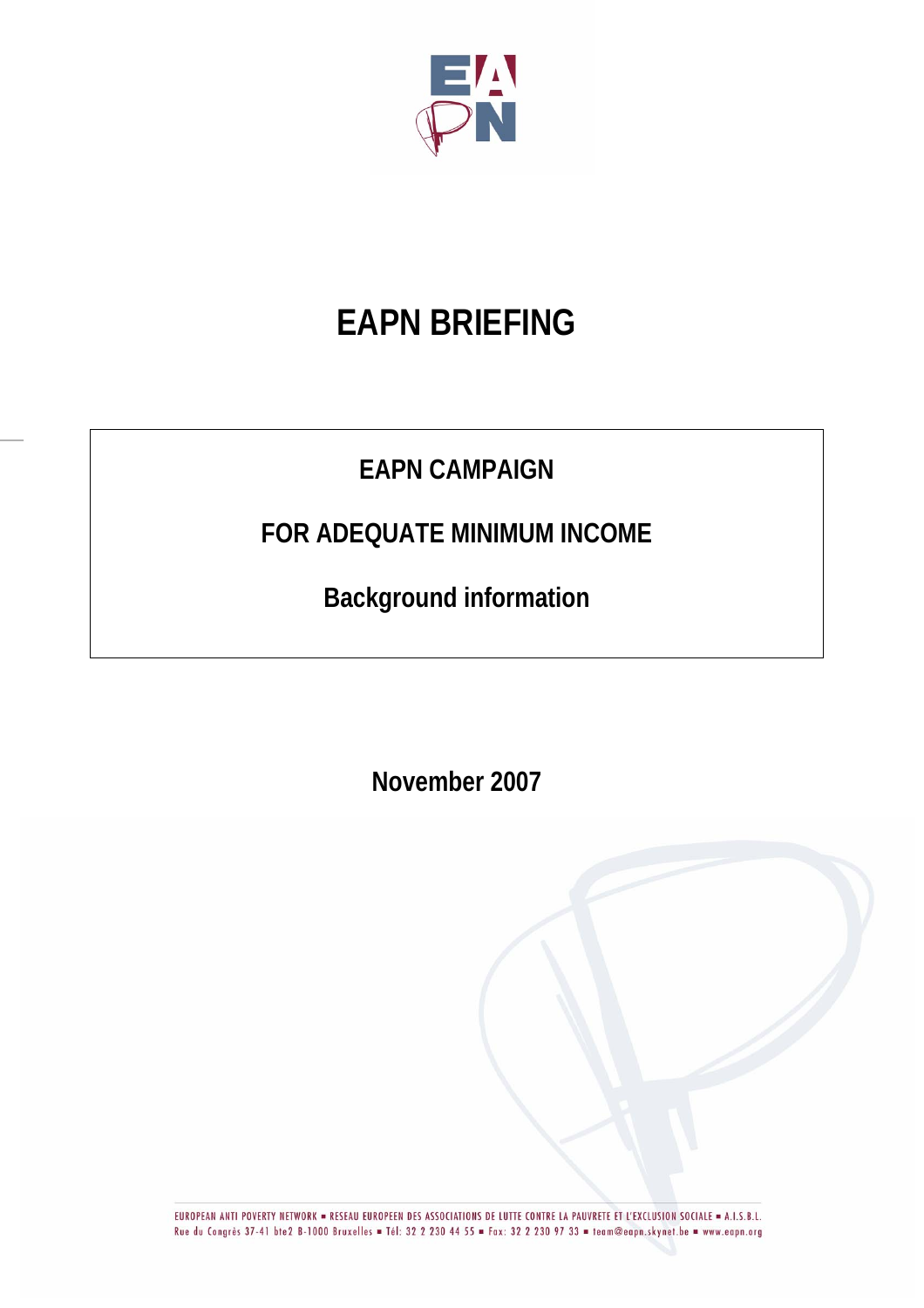

# **EAPN BRIEFING**

# **EAPN CAMPAIGN**

# **FOR ADEQUATE MINIMUM INCOME**

**Background information** 

**November 2007** 

EUROPEAN ANTI POVERTY NETWORK = RESEAU EUROPEEN DES ASSOCIATIONS DE LUTTE CONTRE LA PAUVRETE ET L'EXCLUSION SOCIALE = A.I.S.B.L. Rue du Congrès 37-41 bte2 B-1000 Bruxelles = Tél: 32 2 230 44 55 = Fax: 32 2 230 97 33 = team@eapn.skynet.be = www.eapn.org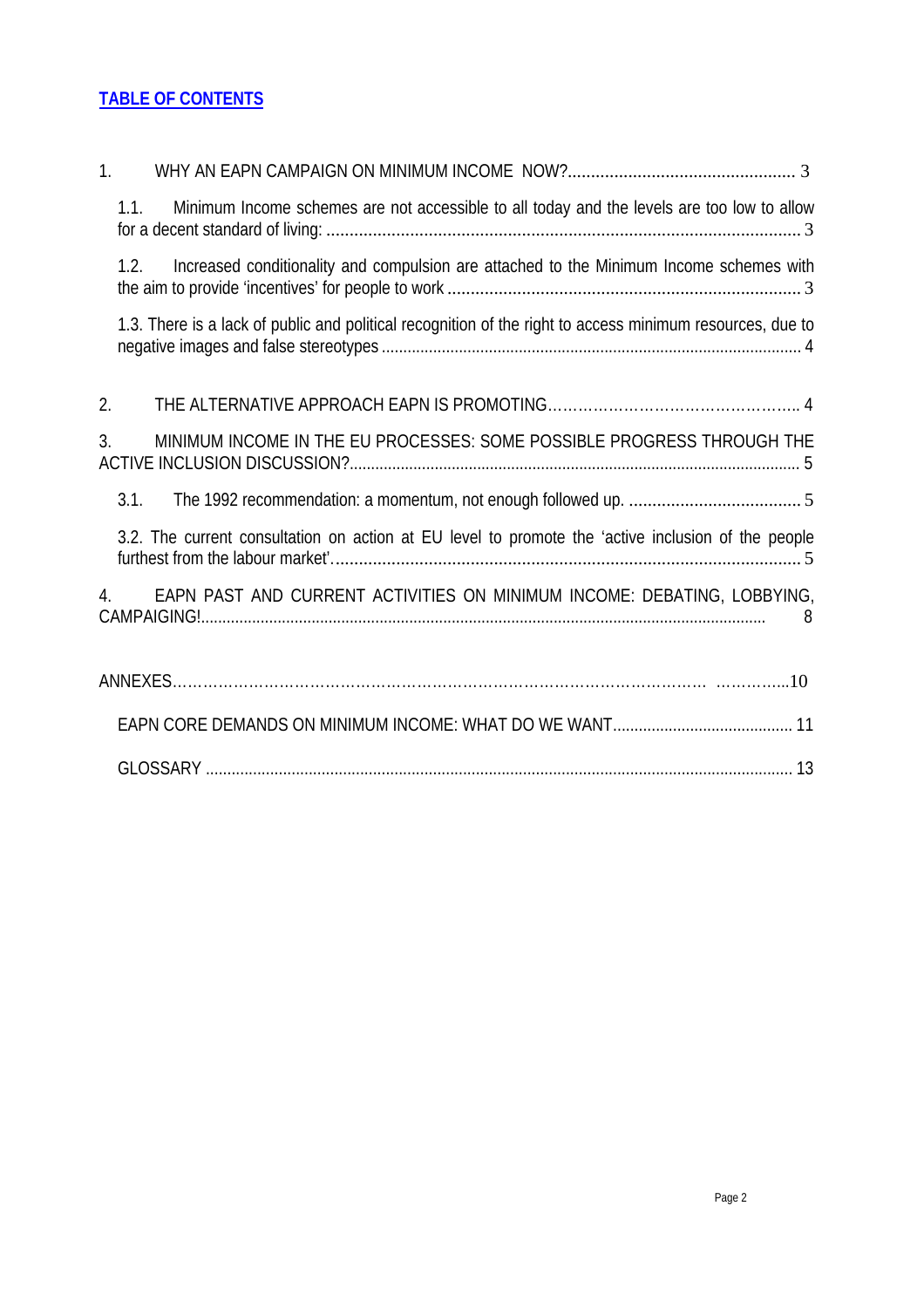#### **TABLE OF CONTENTS**

| 1 <sub>1</sub>                                                                                            |
|-----------------------------------------------------------------------------------------------------------|
| Minimum Income schemes are not accessible to all today and the levels are too low to allow<br>1.1.        |
| Increased conditionality and compulsion are attached to the Minimum Income schemes with<br>1.2.           |
| 1.3. There is a lack of public and political recognition of the right to access minimum resources, due to |
| 2.                                                                                                        |
| MINIMUM INCOME IN THE EU PROCESSES: SOME POSSIBLE PROGRESS THROUGH THE<br>3.                              |
| 3.1.                                                                                                      |
| 3.2. The current consultation on action at EU level to promote the 'active inclusion of the people        |
| EAPN PAST AND CURRENT ACTIVITIES ON MINIMUM INCOME: DEBATING, LOBBYING,<br>4.<br>8                        |
|                                                                                                           |
|                                                                                                           |
|                                                                                                           |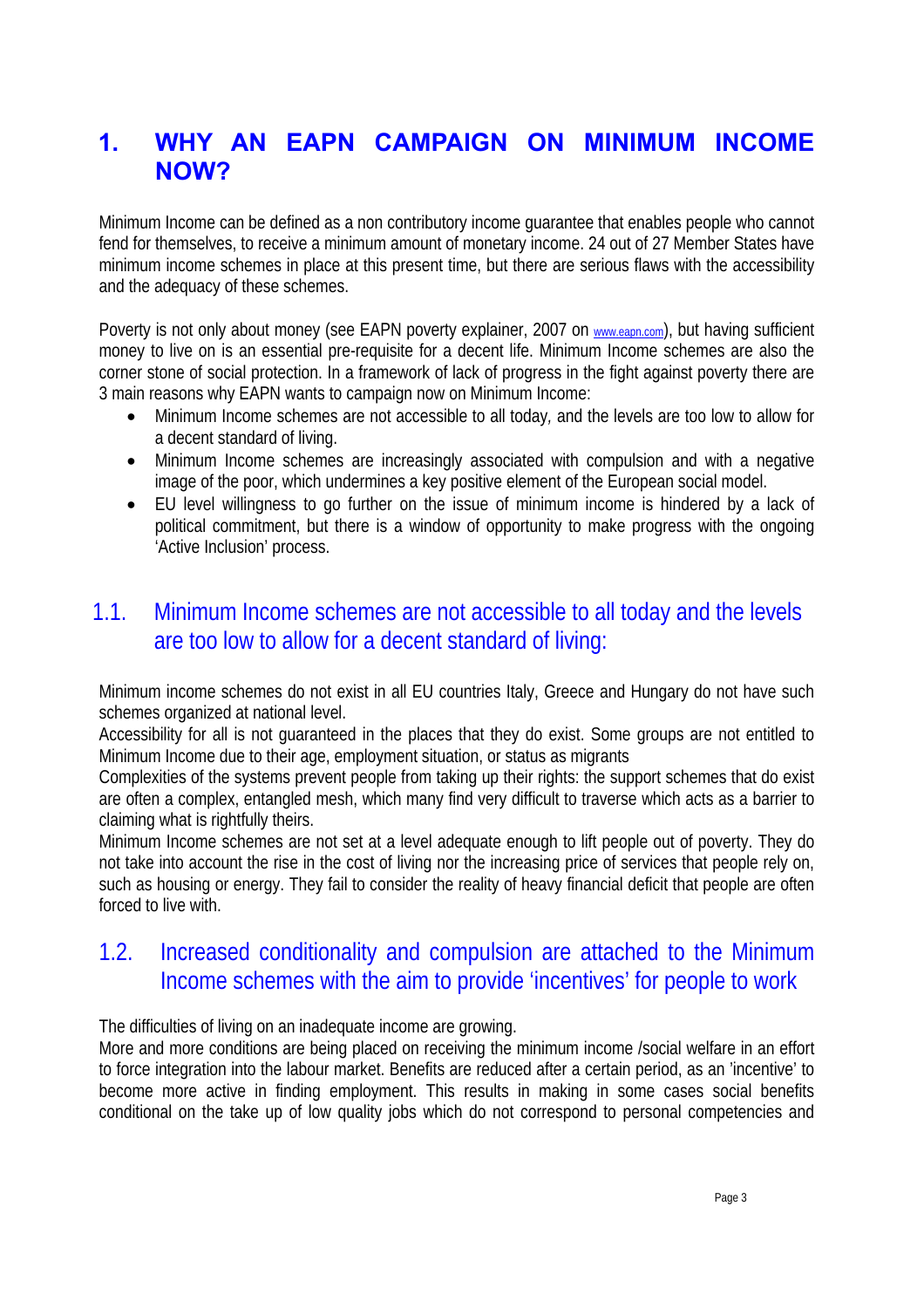### **1. WHY AN EAPN CAMPAIGN ON MINIMUM INCOME NOW?**

Minimum Income can be defined as a non contributory income guarantee that enables people who cannot fend for themselves, to receive a minimum amount of monetary income. 24 out of 27 Member States have minimum income schemes in place at this present time, but there are serious flaws with the accessibility and the adequacy of these schemes.

Poverty is not only about money (see EAPN poverty explainer, 2007 on www.eapn.com), but having sufficient money to live on is an essential pre-requisite for a decent life. Minimum Income schemes are also the corner stone of social protection. In a framework of lack of progress in the fight against poverty there are 3 main reasons why EAPN wants to campaign now on Minimum Income:

- Minimum Income schemes are not accessible to all today*,* and the levels are too low to allow for a decent standard of living.
- Minimum Income schemes are increasingly associated with compulsion and with a negative image of the poor, which undermines a key positive element of the European social model.
- EU level willingness to go further on the issue of minimum income is hindered by a lack of political commitment, but there is a window of opportunity to make progress with the ongoing 'Active Inclusion' process.

### 1.1. Minimum Income schemes are not accessible to all today and the levels are too low to allow for a decent standard of living:

Minimum income schemes do not exist in all EU countries Italy, Greece and Hungary do not have such schemes organized at national level.

Accessibility for all is not guaranteed in the places that they do exist. Some groups are not entitled to Minimum Income due to their age, employment situation, or status as migrants

Complexities of the systems prevent people from taking up their rights: the support schemes that do exist are often a complex, entangled mesh, which many find very difficult to traverse which acts as a barrier to claiming what is rightfully theirs.

Minimum Income schemes are not set at a level adequate enough to lift people out of poverty. They do not take into account the rise in the cost of living nor the increasing price of services that people rely on, such as housing or energy. They fail to consider the reality of heavy financial deficit that people are often forced to live with.

### 1.2. Increased conditionality and compulsion are attached to the Minimum Income schemes with the aim to provide 'incentives' for people to work

The difficulties of living on an inadequate income are growing.

More and more conditions are being placed on receiving the minimum income /social welfare in an effort to force integration into the labour market. Benefits are reduced after a certain period, as an 'incentive' to become more active in finding employment. This results in making in some cases social benefits conditional on the take up of low quality jobs which do not correspond to personal competencies and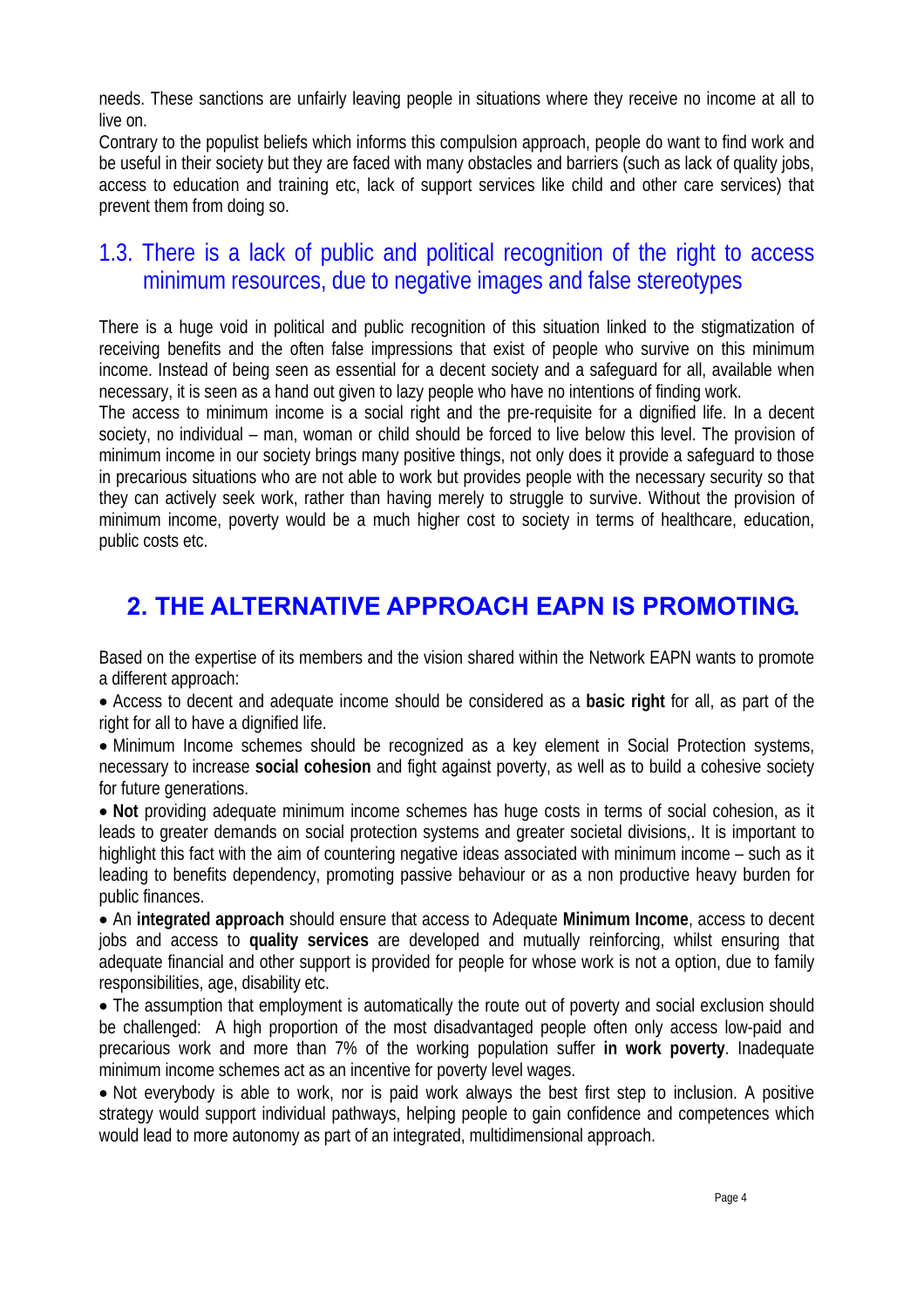needs. These sanctions are unfairly leaving people in situations where they receive no income at all to live on.

Contrary to the populist beliefs which informs this compulsion approach, people do want to find work and be useful in their society but they are faced with many obstacles and barriers (such as lack of quality jobs, access to education and training etc, lack of support services like child and other care services) that prevent them from doing so.

### 1.3. There is a lack of public and political recognition of the right to access minimum resources, due to negative images and false stereotypes

There is a huge void in political and public recognition of this situation linked to the stigmatization of receiving benefits and the often false impressions that exist of people who survive on this minimum income. Instead of being seen as essential for a decent society and a safeguard for all, available when necessary, it is seen as a hand out given to lazy people who have no intentions of finding work.

The access to minimum income is a social right and the pre-requisite for a dignified life. In a decent society, no individual – man, woman or child should be forced to live below this level. The provision of minimum income in our society brings many positive things, not only does it provide a safeguard to those in precarious situations who are not able to work but provides people with the necessary security so that they can actively seek work, rather than having merely to struggle to survive. Without the provision of minimum income, poverty would be a much higher cost to society in terms of healthcare, education, public costs etc.

## **2. THE ALTERNATIVE APPROACH EAPN IS PROMOTING.**

Based on the expertise of its members and the vision shared within the Network EAPN wants to promote a different approach:

• Access to decent and adequate income should be considered as a **basic right** for all, as part of the right for all to have a dignified life.

• Minimum Income schemes should be recognized as a key element in Social Protection systems, necessary to increase **social cohesion** and fight against poverty, as well as to build a cohesive society for future generations.

• **Not** providing adequate minimum income schemes has huge costs in terms of social cohesion, as it leads to greater demands on social protection systems and greater societal divisions,. It is important to highlight this fact with the aim of countering negative ideas associated with minimum income – such as it leading to benefits dependency, promoting passive behaviour or as a non productive heavy burden for public finances.

• An **integrated approach** should ensure that access to Adequate **Minimum Income**, access to decent jobs and access to **quality services** are developed and mutually reinforcing, whilst ensuring that adequate financial and other support is provided for people for whose work is not a option, due to family responsibilities, age, disability etc.

• The assumption that employment is automatically the route out of poverty and social exclusion should be challenged: A high proportion of the most disadvantaged people often only access low-paid and precarious work and more than 7% of the working population suffer **in work poverty**. Inadequate minimum income schemes act as an incentive for poverty level wages.

• Not everybody is able to work, nor is paid work always the best first step to inclusion. A positive strategy would support individual pathways, helping people to gain confidence and competences which would lead to more autonomy as part of an integrated, multidimensional approach.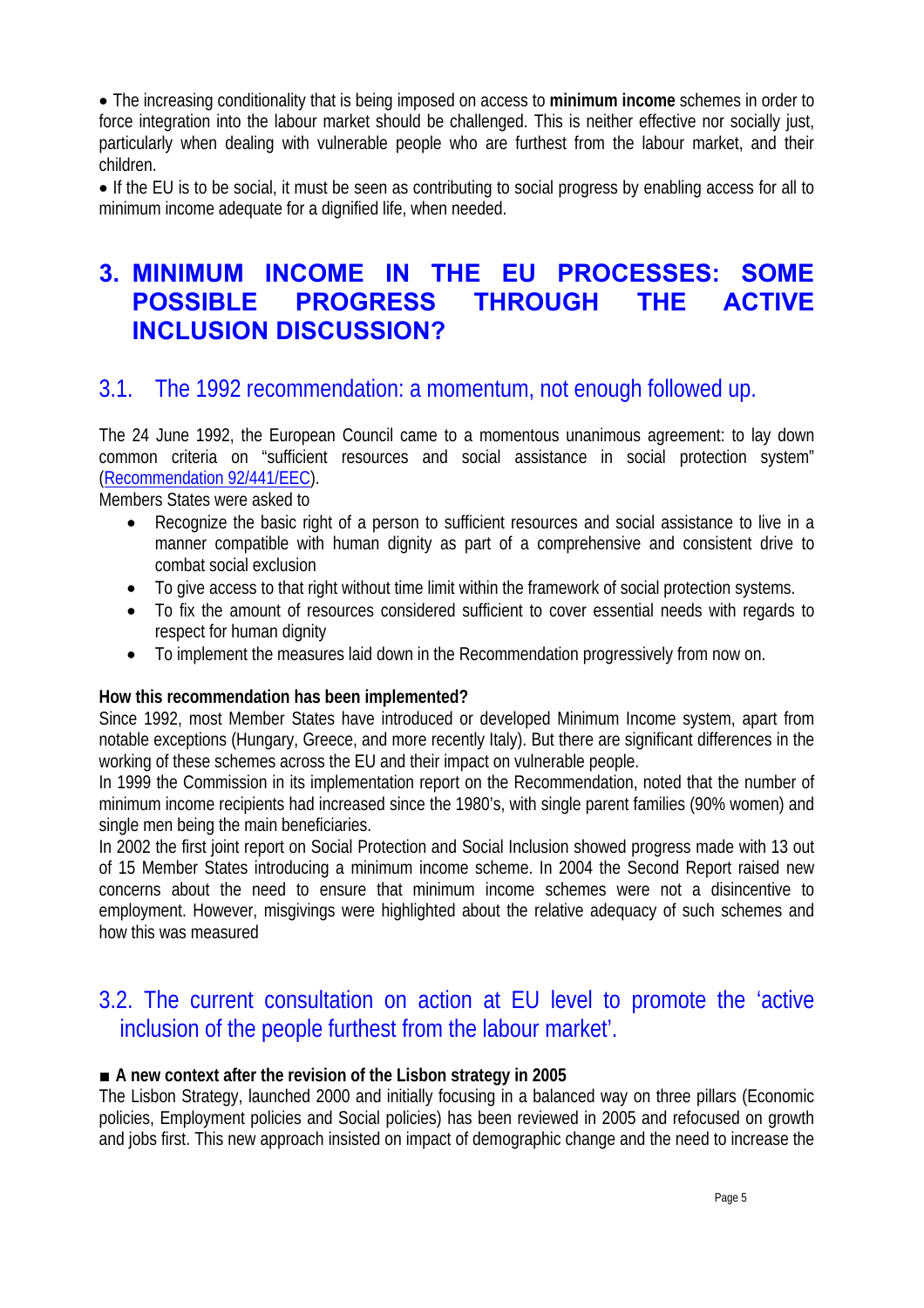• The increasing conditionality that is being imposed on access to **minimum income** schemes in order to force integration into the labour market should be challenged. This is neither effective nor socially just, particularly when dealing with vulnerable people who are furthest from the labour market, and their children.

• If the EU is to be social, it must be seen as contributing to social progress by enabling access for all to minimum income adequate for a dignified life, when needed.

### **3. MINIMUM INCOME IN THE EU PROCESSES: SOME POSSIBLE PROGRESS THROUGH THE ACTIVE INCLUSION DISCUSSION?**

### 3.1. The 1992 recommendation: a momentum, not enough followed up.

The 24 June 1992, the European Council came to a momentous unanimous agreement: to lay down common criteria on "sufficient resources and social assistance in social protection system" (Recommendation 92/441/EEC).

Members States were asked to

- Recognize the basic right of a person to sufficient resources and social assistance to live in a manner compatible with human dignity as part of a comprehensive and consistent drive to combat social exclusion
- To give access to that right without time limit within the framework of social protection systems.
- To fix the amount of resources considered sufficient to cover essential needs with regards to respect for human dignity
- To implement the measures laid down in the Recommendation progressively from now on.

#### **How this recommendation has been implemented?**

Since 1992, most Member States have introduced or developed Minimum Income system, apart from notable exceptions (Hungary, Greece, and more recently Italy). But there are significant differences in the working of these schemes across the EU and their impact on vulnerable people.

In 1999 the Commission in its implementation report on the Recommendation, noted that the number of minimum income recipients had increased since the 1980's, with single parent families (90% women) and single men being the main beneficiaries.

In 2002 the first joint report on Social Protection and Social Inclusion showed progress made with 13 out of 15 Member States introducing a minimum income scheme. In 2004 the Second Report raised new concerns about the need to ensure that minimum income schemes were not a disincentive to employment. However, misgivings were highlighted about the relative adequacy of such schemes and how this was measured

### 3.2. The current consultation on action at EU level to promote the 'active inclusion of the people furthest from the labour market'.

#### ■ **A** new context after the revision of the Lisbon strategy in 2005

The Lisbon Strategy, launched 2000 and initially focusing in a balanced way on three pillars (Economic policies, Employment policies and Social policies) has been reviewed in 2005 and refocused on growth and jobs first. This new approach insisted on impact of demographic change and the need to increase the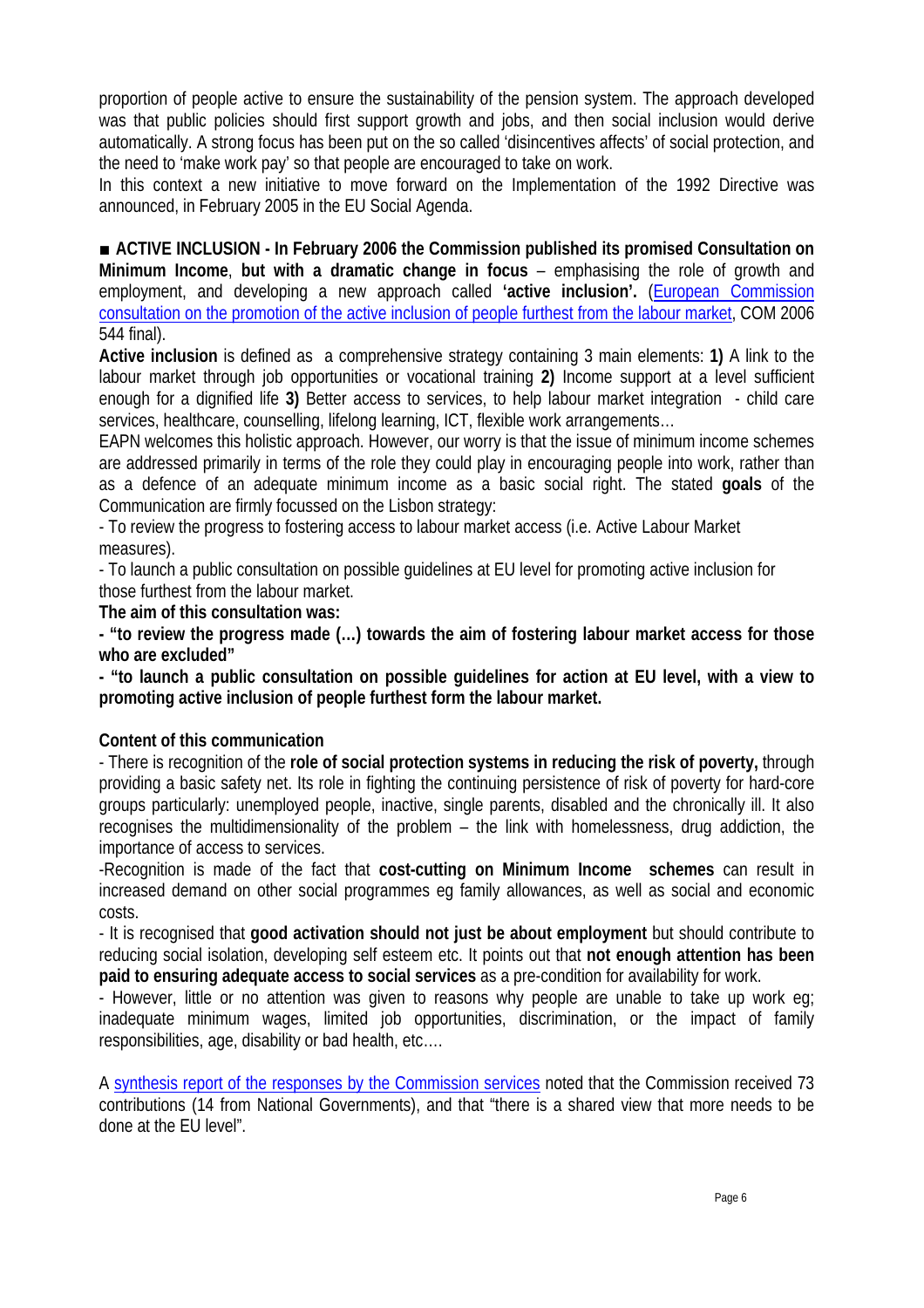proportion of people active to ensure the sustainability of the pension system. The approach developed was that public policies should first support growth and jobs, and then social inclusion would derive automatically. A strong focus has been put on the so called 'disincentives affects' of social protection, and the need to 'make work pay' so that people are encouraged to take on work.

In this context a new initiative to move forward on the Implementation of the 1992 Directive was announced, in February 2005 in the EU Social Agenda.

■ **ACTIVE INCLUSION - In February 2006 the Commission published its promised Consultation on Minimum Income**, **but with a dramatic change in focus** – emphasising the role of growth and employment, and developing a new approach called **'active inclusion'.** (European Commission consultation on the promotion of the active inclusion of people furthest from the labour market, COM 2006 544 final).

**Active inclusion** is defined as a comprehensive strategy containing 3 main elements: **1)** A link to the labour market through job opportunities or vocational training **2)** Income support at a level sufficient enough for a dignified life **3)** Better access to services, to help labour market integration - child care services, healthcare, counselling, lifelong learning, ICT, flexible work arrangements…

EAPN welcomes this holistic approach. However, our worry is that the issue of minimum income schemes are addressed primarily in terms of the role they could play in encouraging people into work, rather than as a defence of an adequate minimum income as a basic social right. The stated **goals** of the Communication are firmly focussed on the Lisbon strategy:

- To review the progress to fostering access to labour market access (i.e. Active Labour Market measures).

- To launch a public consultation on possible guidelines at EU level for promoting active inclusion for those furthest from the labour market.

**The aim of this consultation was:** 

**- "to review the progress made (…) towards the aim of fostering labour market access for those who are excluded"** 

**- "to launch a public consultation on possible guidelines for action at EU level, with a view to promoting active inclusion of people furthest form the labour market.** 

#### **Content of this communication**

- There is recognition of the **role of social protection systems in reducing the risk of poverty,** through providing a basic safety net. Its role in fighting the continuing persistence of risk of poverty for hard-core groups particularly: unemployed people, inactive, single parents, disabled and the chronically ill. It also recognises the multidimensionality of the problem – the link with homelessness, drug addiction, the importance of access to services.

-Recognition is made of the fact that **cost-cutting on Minimum Income schemes** can result in increased demand on other social programmes eg family allowances, as well as social and economic costs.

- It is recognised that **good activation should not just be about employment** but should contribute to reducing social isolation, developing self esteem etc. It points out that **not enough attention has been paid to ensuring adequate access to social services** as a pre-condition for availability for work.

- However, little or no attention was given to reasons why people are unable to take up work eg; inadequate minimum wages, limited job opportunities, discrimination, or the impact of family responsibilities, age, disability or bad health, etc….

A synthesis report of the responses by the Commission services noted that the Commission received 73 contributions (14 from National Governments), and that "there is a shared view that more needs to be done at the EU level".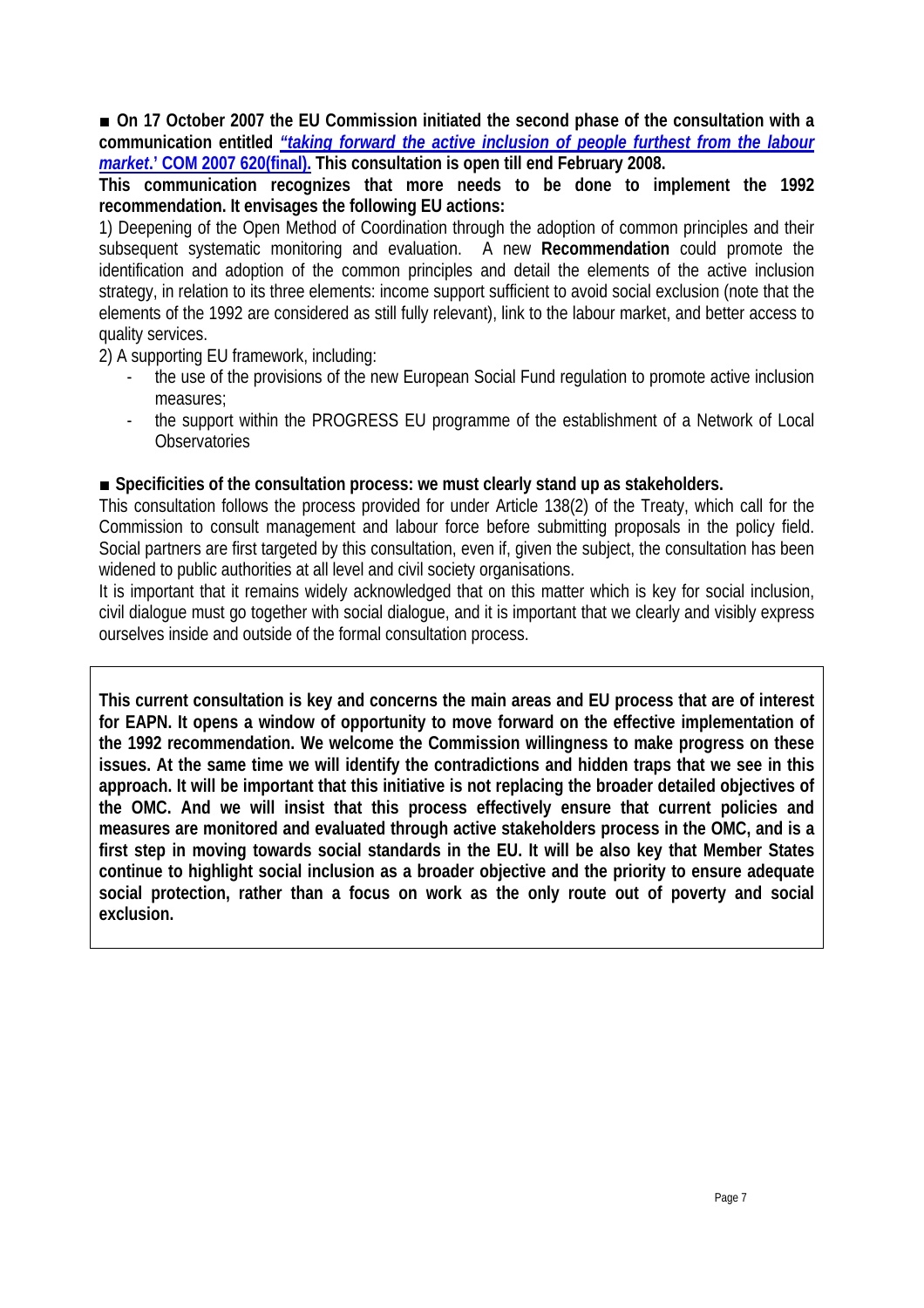■ On 17 October 2007 the EU Commission initiated the second phase of the consultation with a **communication entitled** *"taking forward the active inclusion of people furthest from the labour market***.' COM 2007 620(final). This consultation is open till end February 2008.** 

**This communication recognizes that more needs to be done to implement the 1992 recommendation. It envisages the following EU actions:** 

1) Deepening of the Open Method of Coordination through the adoption of common principles and their subsequent systematic monitoring and evaluation. A new **Recommendation** could promote the identification and adoption of the common principles and detail the elements of the active inclusion strategy, in relation to its three elements: income support sufficient to avoid social exclusion (note that the elements of the 1992 are considered as still fully relevant), link to the labour market, and better access to quality services.

2) A supporting EU framework, including:

- the use of the provisions of the new European Social Fund regulation to promote active inclusion measures;
- the support within the PROGRESS EU programme of the establishment of a Network of Local **Observatories**

#### ■ **Specificities of the consultation process: we must clearly stand up as stakeholders.**

This consultation follows the process provided for under Article 138(2) of the Treaty, which call for the Commission to consult management and labour force before submitting proposals in the policy field. Social partners are first targeted by this consultation, even if, given the subject, the consultation has been widened to public authorities at all level and civil society organisations.

It is important that it remains widely acknowledged that on this matter which is key for social inclusion, civil dialogue must go together with social dialogue, and it is important that we clearly and visibly express ourselves inside and outside of the formal consultation process.

**This current consultation is key and concerns the main areas and EU process that are of interest for EAPN. It opens a window of opportunity to move forward on the effective implementation of the 1992 recommendation. We welcome the Commission willingness to make progress on these issues. At the same time we will identify the contradictions and hidden traps that we see in this approach. It will be important that this initiative is not replacing the broader detailed objectives of the OMC. And we will insist that this process effectively ensure that current policies and measures are monitored and evaluated through active stakeholders process in the OMC, and is a first step in moving towards social standards in the EU. It will be also key that Member States continue to highlight social inclusion as a broader objective and the priority to ensure adequate social protection, rather than a focus on work as the only route out of poverty and social exclusion.**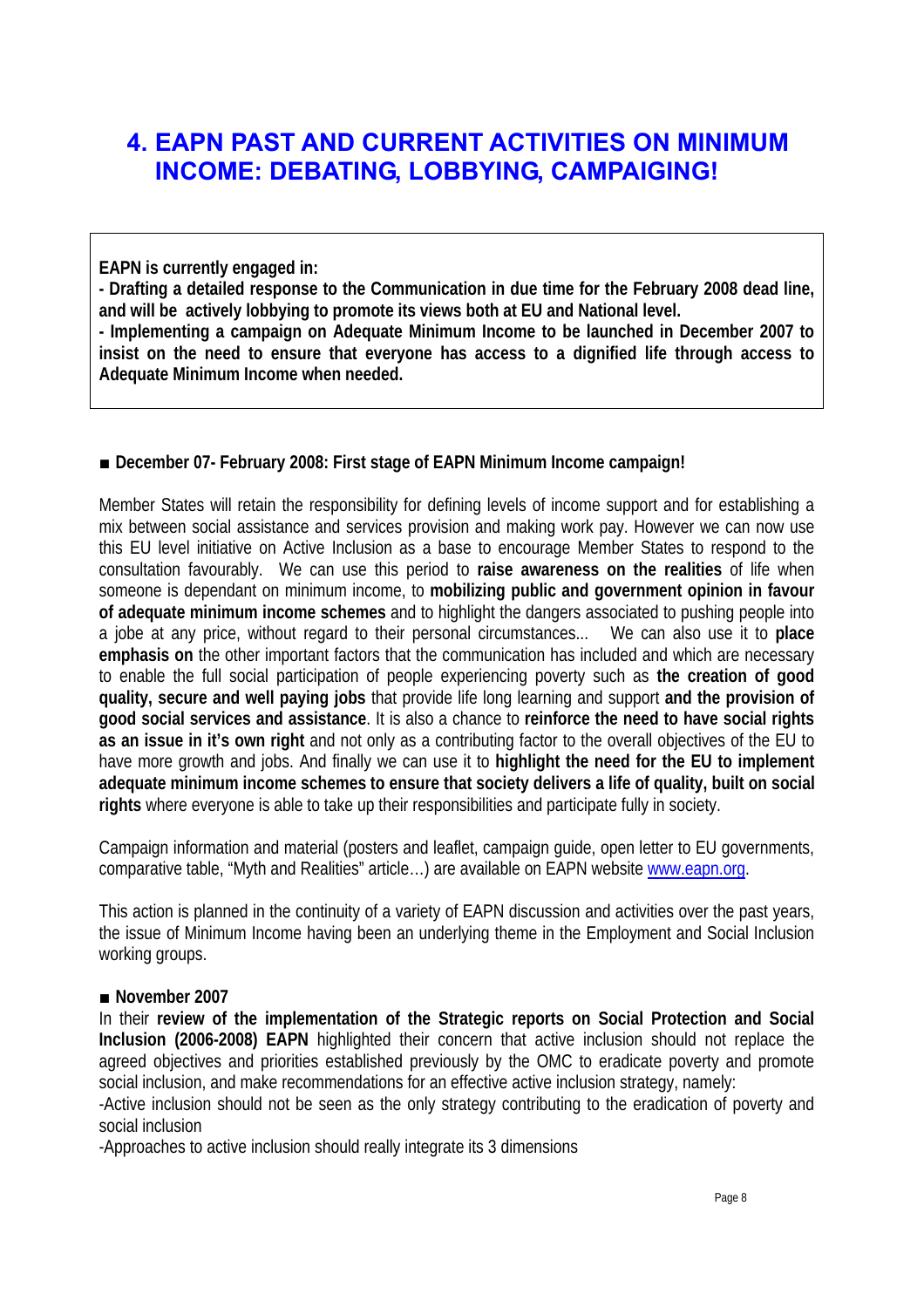## **4. EAPN PAST AND CURRENT ACTIVITIES ON MINIMUM INCOME: DEBATING, LOBBYING, CAMPAIGING!**

**EAPN is currently engaged in:** 

**- Drafting a detailed response to the Communication in due time for the February 2008 dead line, and will be actively lobbying to promote its views both at EU and National level. - Implementing a campaign on Adequate Minimum Income to be launched in December 2007 to insist on the need to ensure that everyone has access to a dignified life through access to Adequate Minimum Income when needed.** 

#### **■ December 07- February 2008: First stage of EAPN Minimum Income campaign!**

Member States will retain the responsibility for defining levels of income support and for establishing a mix between social assistance and services provision and making work pay. However we can now use this EU level initiative on Active Inclusion as a base to encourage Member States to respond to the consultation favourably. We can use this period to **raise awareness on the realities** of life when someone is dependant on minimum income, to **mobilizing public and government opinion in favour of adequate minimum income schemes** and to highlight the dangers associated to pushing people into a jobe at any price, without regard to their personal circumstances... We can also use it to **place emphasis on** the other important factors that the communication has included and which are necessary to enable the full social participation of people experiencing poverty such as **the creation of good quality, secure and well paying jobs** that provide life long learning and support **and the provision of good social services and assistance**. It is also a chance to **reinforce the need to have social rights as an issue in it's own right** and not only as a contributing factor to the overall objectives of the EU to have more growth and jobs. And finally we can use it to **highlight the need for the EU to implement adequate minimum income schemes to ensure that society delivers a life of quality, built on social rights** where everyone is able to take up their responsibilities and participate fully in society.

Campaign information and material (posters and leaflet, campaign guide, open letter to EU governments, comparative table, "Myth and Realities" article…) are available on EAPN website www.eapn.org.

This action is planned in the continuity of a variety of EAPN discussion and activities over the past years, the issue of Minimum Income having been an underlying theme in the Employment and Social Inclusion working groups.

#### **■ November 2007**

In their **review of the implementation of the Strategic reports on Social Protection and Social Inclusion (2006-2008) EAPN** highlighted their concern that active inclusion should not replace the agreed objectives and priorities established previously by the OMC to eradicate poverty and promote social inclusion, and make recommendations for an effective active inclusion strategy, namely:

-Active inclusion should not be seen as the only strategy contributing to the eradication of poverty and social inclusion

-Approaches to active inclusion should really integrate its 3 dimensions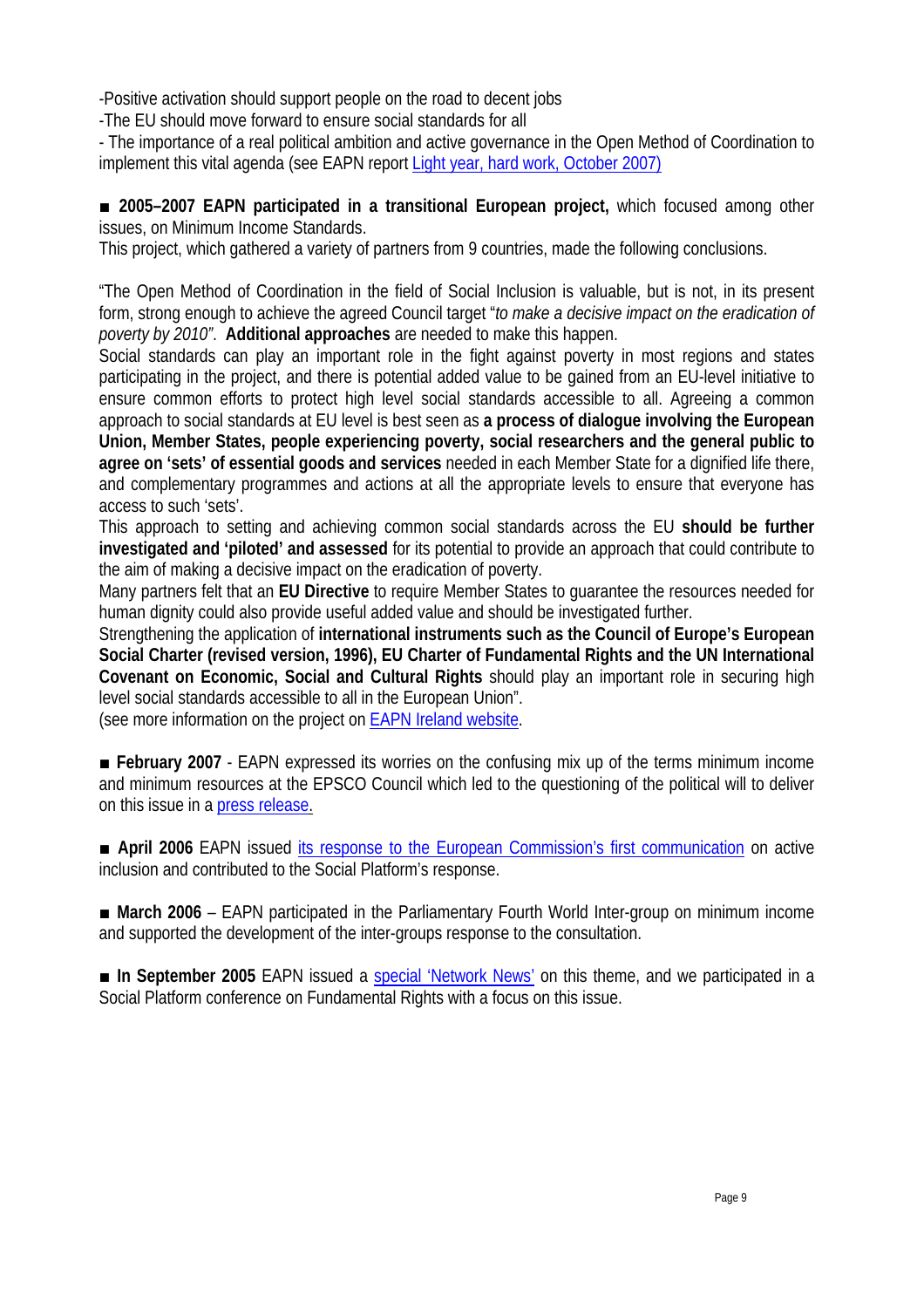-Positive activation should support people on the road to decent jobs

-The EU should move forward to ensure social standards for all

- The importance of a real political ambition and active governance in the Open Method of Coordination to implement this vital agenda (see EAPN report Light year, hard work, October 2007)

**■ 2005–2007 EAPN participated in a transitional European project,** which focused among other issues, on Minimum Income Standards.

This project, which gathered a variety of partners from 9 countries, made the following conclusions.

"The Open Method of Coordination in the field of Social Inclusion is valuable, but is not, in its present form, strong enough to achieve the agreed Council target "*to make a decisive impact on the eradication of poverty by 2010"*. **Additional approaches** are needed to make this happen.

Social standards can play an important role in the fight against poverty in most regions and states participating in the project, and there is potential added value to be gained from an EU-level initiative to ensure common efforts to protect high level social standards accessible to all. Agreeing a common approach to social standards at EU level is best seen as **a process of dialogue involving the European Union, Member States, people experiencing poverty, social researchers and the general public to agree on 'sets' of essential goods and services** needed in each Member State for a dignified life there, and complementary programmes and actions at all the appropriate levels to ensure that everyone has access to such 'sets'.

This approach to setting and achieving common social standards across the EU **should be further investigated and 'piloted' and assessed** for its potential to provide an approach that could contribute to the aim of making a decisive impact on the eradication of poverty.

Many partners felt that an **EU Directive** to require Member States to guarantee the resources needed for human dignity could also provide useful added value and should be investigated further.

Strengthening the application of **international instruments such as the Council of Europe's European Social Charter (revised version, 1996), EU Charter of Fundamental Rights and the UN International Covenant on Economic, Social and Cultural Rights** should play an important role in securing high level social standards accessible to all in the European Union".

(see more information on the project on EAPN Ireland website.

**■ February 2007** - EAPN expressed its worries on the confusing mix up of the terms minimum income and minimum resources at the EPSCO Council which led to the questioning of the political will to deliver on this issue in a press release.

■ **April 2006** EAPN issued its response to the European Commission's first communication on active inclusion and contributed to the Social Platform's response.

**■ March 2006** – EAPN participated in the Parliamentary Fourth World Inter-group on minimum income and supported the development of the inter-groups response to the consultation.

■ In September 2005 EAPN issued a special 'Network News' on this theme, and we participated in a Social Platform conference on Fundamental Rights with a focus on this issue.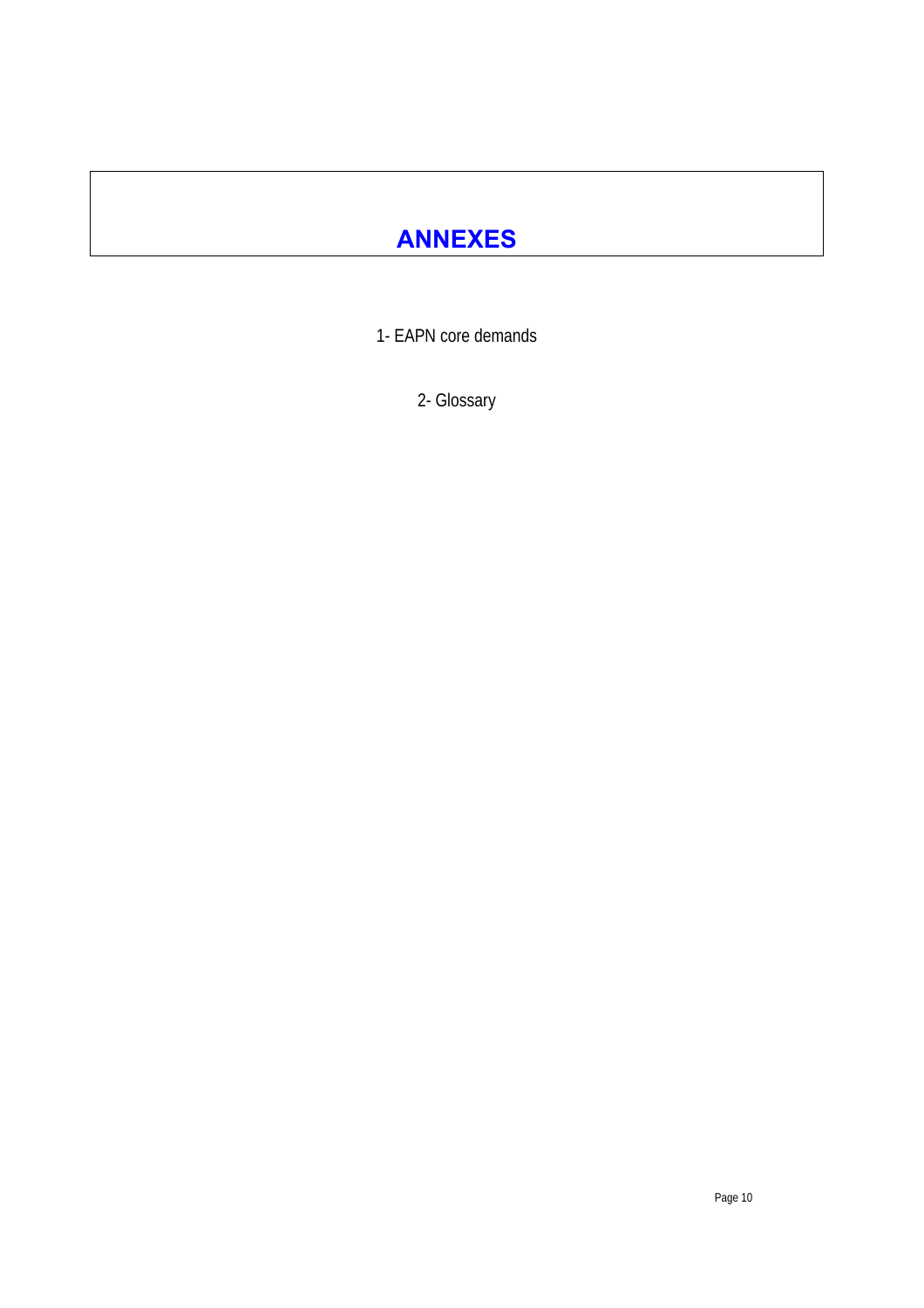# **ANNEXES**

1- EAPN core demands

2- Glossary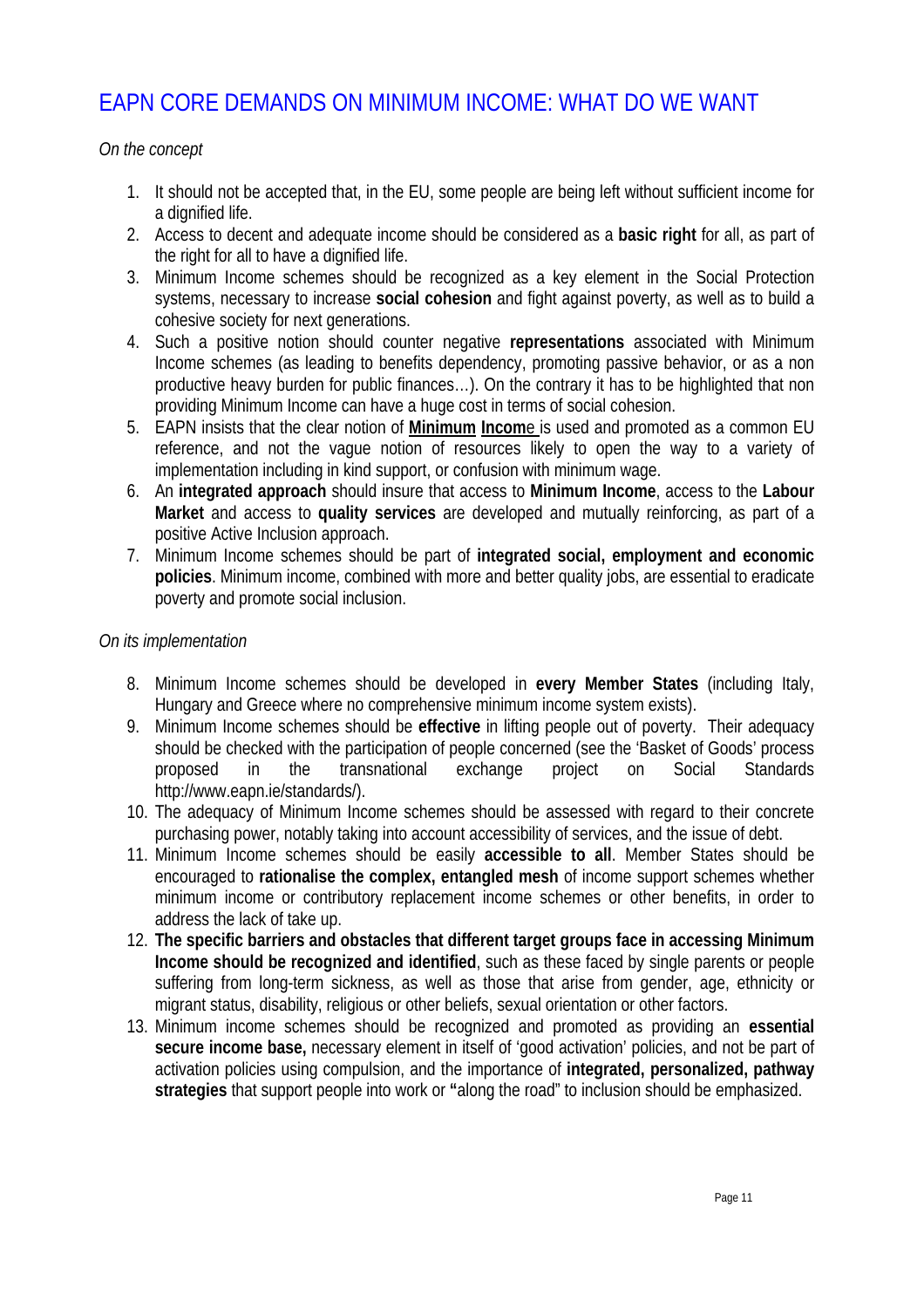## EAPN CORE DEMANDS ON MINIMUM INCOME: WHAT DO WE WANT

*On the concept*

- 1. It should not be accepted that, in the EU, some people are being left without sufficient income for a dignified life.
- 2. Access to decent and adequate income should be considered as a **basic right** for all, as part of the right for all to have a dignified life.
- 3. Minimum Income schemes should be recognized as a key element in the Social Protection systems, necessary to increase **social cohesion** and fight against poverty, as well as to build a cohesive society for next generations.
- 4. Such a positive notion should counter negative **representations** associated with Minimum Income schemes (as leading to benefits dependency, promoting passive behavior, or as a non productive heavy burden for public finances…). On the contrary it has to be highlighted that non providing Minimum Income can have a huge cost in terms of social cohesion.
- 5. EAPN insists that the clear notion of **Minimum Incom**e is used and promoted as a common EU reference, and not the vague notion of resources likely to open the way to a variety of implementation including in kind support, or confusion with minimum wage.
- 6. An **integrated approach** should insure that access to **Minimum Income**, access to the **Labour Market** and access to **quality services** are developed and mutually reinforcing, as part of a positive Active Inclusion approach.
- 7. Minimum Income schemes should be part of **integrated social, employment and economic policies**. Minimum income, combined with more and better quality jobs, are essential to eradicate poverty and promote social inclusion.

#### *On its implementation*

- 8. Minimum Income schemes should be developed in **every Member States** (including Italy, Hungary and Greece where no comprehensive minimum income system exists).
- 9. Minimum Income schemes should be **effective** in lifting people out of poverty. Their adequacy should be checked with the participation of people concerned (see the 'Basket of Goods' process proposed in the transnational exchange project on Social Standards http://www.eapn.ie/standards/).
- 10. The adequacy of Minimum Income schemes should be assessed with regard to their concrete purchasing power, notably taking into account accessibility of services, and the issue of debt.
- 11. Minimum Income schemes should be easily **accessible to all**. Member States should be encouraged to **rationalise the complex, entangled mesh** of income support schemes whether minimum income or contributory replacement income schemes or other benefits, in order to address the lack of take up.
- 12. **The specific barriers and obstacles that different target groups face in accessing Minimum Income should be recognized and identified**, such as these faced by single parents or people suffering from long-term sickness, as well as those that arise from gender, age, ethnicity or migrant status, disability, religious or other beliefs, sexual orientation or other factors.
- 13. Minimum income schemes should be recognized and promoted as providing an **essential secure income base,** necessary element in itself of 'good activation' policies, and not be part of activation policies using compulsion, and the importance of **integrated, personalized, pathway strategies** that support people into work or **"**along the road" to inclusion should be emphasized.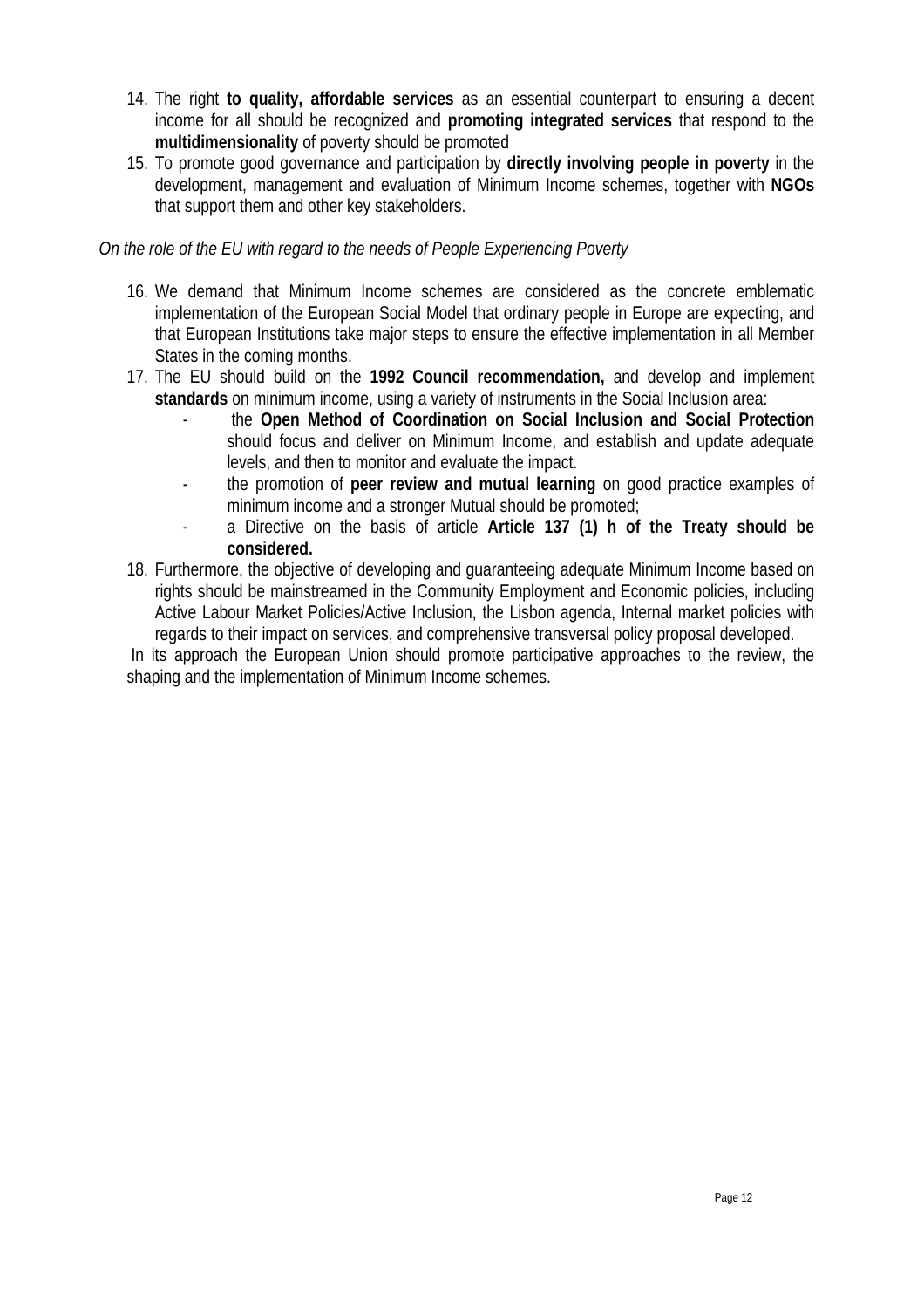- 14. The right **to quality, affordable services** as an essential counterpart to ensuring a decent income for all should be recognized and **promoting integrated services** that respond to the **multidimensionality** of poverty should be promoted
- 15. To promote good governance and participation by **directly involving people in poverty** in the development, management and evaluation of Minimum Income schemes, together with **NGOs**  that support them and other key stakeholders.

#### *On the role of the EU with regard to the needs of People Experiencing Poverty*

- 16. We demand that Minimum Income schemes are considered as the concrete emblematic implementation of the European Social Model that ordinary people in Europe are expecting, and that European Institutions take major steps to ensure the effective implementation in all Member States in the coming months.
- 17. The EU should build on the **1992 Council recommendation,** and develop and implement **standards** on minimum income, using a variety of instruments in the Social Inclusion area:
	- the **Open Method of Coordination on Social Inclusion and Social Protection** should focus and deliver on Minimum Income, and establish and update adequate levels, and then to monitor and evaluate the impact.
	- the promotion of **peer review and mutual learning** on good practice examples of minimum income and a stronger Mutual should be promoted;
	- a Directive on the basis of article **Article 137 (1) h of the Treaty should be considered.**
- 18. Furthermore, the objective of developing and guaranteeing adequate Minimum Income based on rights should be mainstreamed in the Community Employment and Economic policies, including Active Labour Market Policies/Active Inclusion, the Lisbon agenda, Internal market policies with regards to their impact on services, and comprehensive transversal policy proposal developed.

 In its approach the European Union should promote participative approaches to the review, the shaping and the implementation of Minimum Income schemes.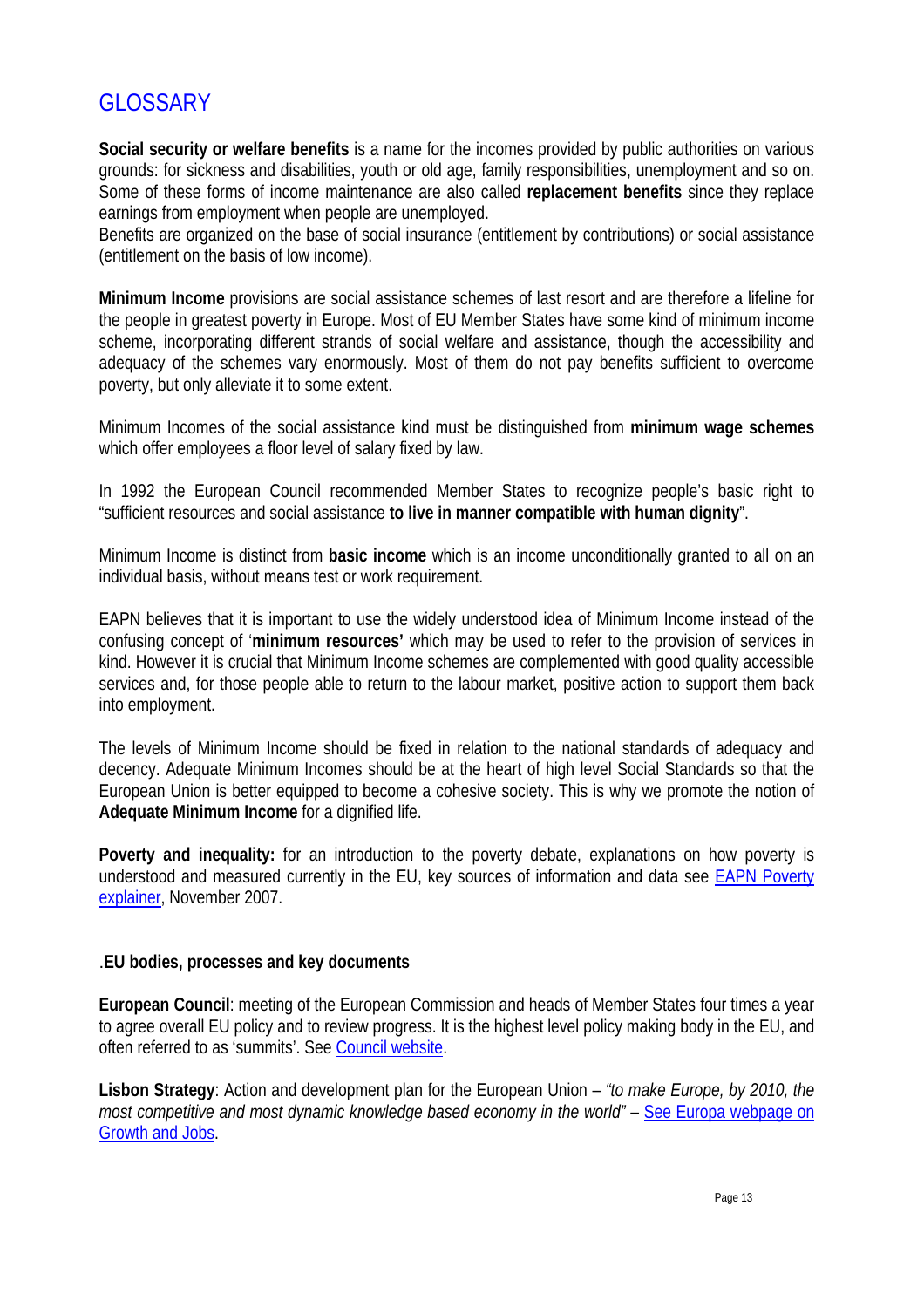# **GLOSSARY**

**Social security or welfare benefits** is a name for the incomes provided by public authorities on various grounds: for sickness and disabilities, youth or old age, family responsibilities, unemployment and so on. Some of these forms of income maintenance are also called **replacement benefits** since they replace earnings from employment when people are unemployed.

Benefits are organized on the base of social insurance (entitlement by contributions) or social assistance (entitlement on the basis of low income).

**Minimum Income** provisions are social assistance schemes of last resort and are therefore a lifeline for the people in greatest poverty in Europe. Most of EU Member States have some kind of minimum income scheme, incorporating different strands of social welfare and assistance, though the accessibility and adequacy of the schemes vary enormously. Most of them do not pay benefits sufficient to overcome poverty, but only alleviate it to some extent.

Minimum Incomes of the social assistance kind must be distinguished from **minimum wage schemes**  which offer employees a floor level of salary fixed by law.

In 1992 the European Council recommended Member States to recognize people's basic right to "sufficient resources and social assistance **to live in manner compatible with human dignity**".

Minimum Income is distinct from **basic income** which is an income unconditionally granted to all on an individual basis, without means test or work requirement.

EAPN believes that it is important to use the widely understood idea of Minimum Income instead of the confusing concept of '**minimum resources'** which may be used to refer to the provision of services in kind. However it is crucial that Minimum Income schemes are complemented with good quality accessible services and, for those people able to return to the labour market, positive action to support them back into employment.

The levels of Minimum Income should be fixed in relation to the national standards of adequacy and decency. Adequate Minimum Incomes should be at the heart of high level Social Standards so that the European Union is better equipped to become a cohesive society. This is why we promote the notion of **Adequate Minimum Income** for a dignified life.

**Poverty and inequality:** for an introduction to the poverty debate, explanations on how poverty is understood and measured currently in the EU, key sources of information and data see EAPN Poverty explainer, November 2007.

#### .**EU bodies, processes and key documents**

**European Council**: meeting of the European Commission and heads of Member States four times a year to agree overall EU policy and to review progress. It is the highest level policy making body in the EU, and often referred to as 'summits'. See Council website.

**Lisbon Strategy**: Action and development plan for the European Union – *"to make Europe, by 2010, the most competitive and most dynamic knowledge based economy in the world" – See Europa webpage on* Growth and Jobs.